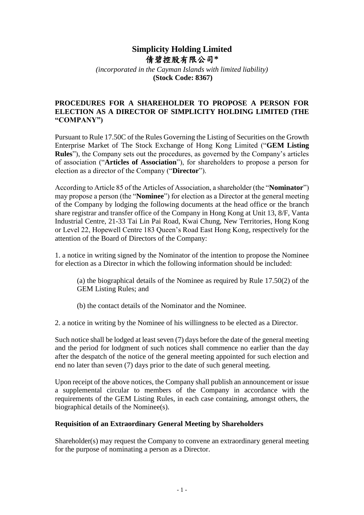## **Simplicity Holding Limited** 倩碧控股有限公司**\***

*(incorporated in the Cayman Islands with limited liability)* **(Stock Code: 8367)**

## **PROCEDURES FOR A SHAREHOLDER TO PROPOSE A PERSON FOR ELECTION AS A DIRECTOR OF SIMPLICITY HOLDING LIMITED (THE "COMPANY")**

Pursuant to Rule 17.50C of the Rules Governing the Listing of Securities on the Growth Enterprise Market of The Stock Exchange of Hong Kong Limited ("**GEM Listing Rules**"), the Company sets out the procedures, as governed by the Company's articles of association ("**Articles of Association**"), for shareholders to propose a person for election as a director of the Company ("**Director**").

According to Article 85 of the Articles of Association, a shareholder (the "**Nominator**") may propose a person (the "**Nominee**") for election as a Director at the general meeting of the Company by lodging the following documents at the head office or the branch share registrar and transfer office of the Company in Hong Kong at Unit 13, 8/F, Vanta Industrial Centre, 21-33 Tai Lin Pai Road, Kwai Chung, New Territories, Hong Kong or Level 22, Hopewell Centre 183 Queen's Road East Hong Kong, respectively for the attention of the Board of Directors of the Company:

1. a notice in writing signed by the Nominator of the intention to propose the Nominee for election as a Director in which the following information should be included:

(a) the biographical details of the Nominee as required by Rule 17.50(2) of the GEM Listing Rules; and

(b) the contact details of the Nominator and the Nominee.

2. a notice in writing by the Nominee of his willingness to be elected as a Director.

Such notice shall be lodged at least seven (7) days before the date of the general meeting and the period for lodgment of such notices shall commence no earlier than the day after the despatch of the notice of the general meeting appointed for such election and end no later than seven (7) days prior to the date of such general meeting.

Upon receipt of the above notices, the Company shall publish an announcement or issue a supplemental circular to members of the Company in accordance with the requirements of the GEM Listing Rules, in each case containing, amongst others, the biographical details of the Nominee(s).

## **Requisition of an Extraordinary General Meeting by Shareholders**

Shareholder(s) may request the Company to convene an extraordinary general meeting for the purpose of nominating a person as a Director.